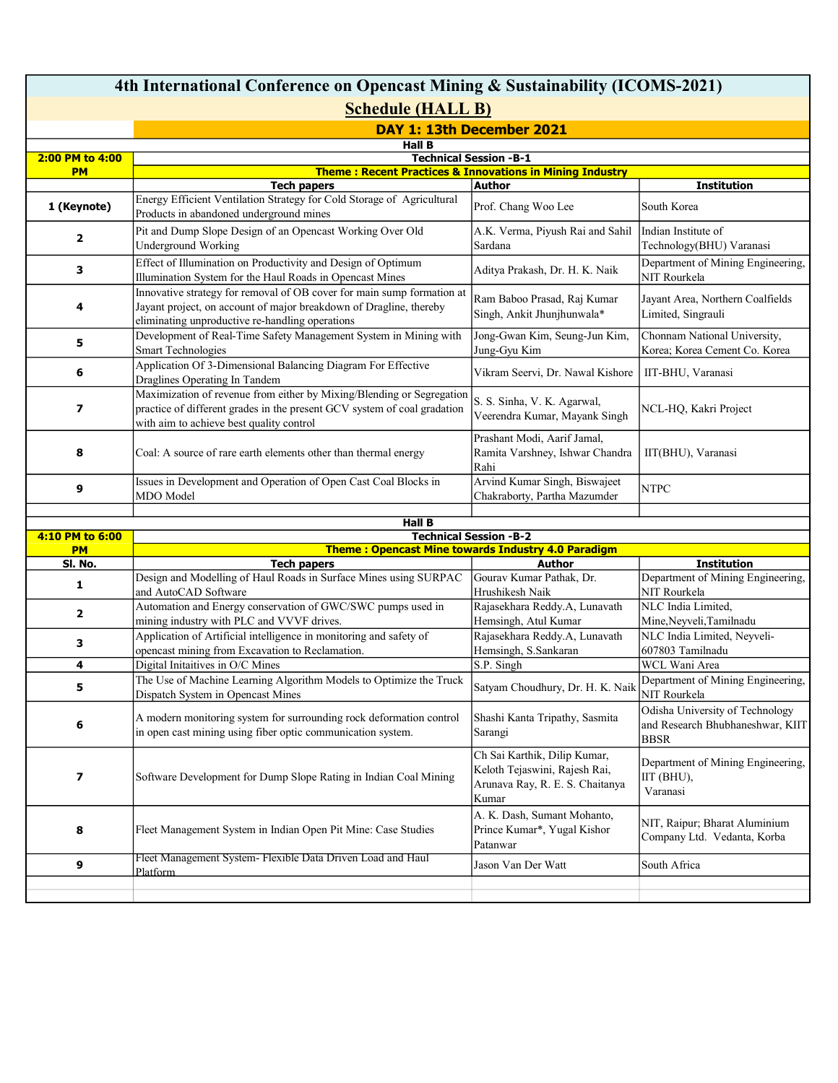| 4th International Conference on Opencast Mining & Sustainability (ICOMS-2021) |                                                                                                                                                                                                 |                                                                                                           |                                                                                    |  |  |  |
|-------------------------------------------------------------------------------|-------------------------------------------------------------------------------------------------------------------------------------------------------------------------------------------------|-----------------------------------------------------------------------------------------------------------|------------------------------------------------------------------------------------|--|--|--|
| <b>Schedule (HALL B)</b>                                                      |                                                                                                                                                                                                 |                                                                                                           |                                                                                    |  |  |  |
|                                                                               | DAY 1: 13th December 2021                                                                                                                                                                       |                                                                                                           |                                                                                    |  |  |  |
| <b>Hall B</b>                                                                 |                                                                                                                                                                                                 |                                                                                                           |                                                                                    |  |  |  |
| 2:00 PM to 4:00<br><b>PM</b>                                                  | <b>Technical Session -B-1</b><br><b>Theme: Recent Practices &amp; Innovations in Mining Industry</b>                                                                                            |                                                                                                           |                                                                                    |  |  |  |
|                                                                               | <b>Tech papers</b>                                                                                                                                                                              | <b>Author</b>                                                                                             | <b>Institution</b>                                                                 |  |  |  |
| 1 (Keynote)                                                                   | Energy Efficient Ventilation Strategy for Cold Storage of Agricultural<br>Products in abandoned underground mines                                                                               | Prof. Chang Woo Lee                                                                                       | South Korea                                                                        |  |  |  |
| 2                                                                             | Pit and Dump Slope Design of an Opencast Working Over Old<br>Underground Working                                                                                                                | A.K. Verma, Piyush Rai and Sahil<br>Sardana                                                               | Indian Institute of<br>Technology(BHU) Varanasi                                    |  |  |  |
| 3                                                                             | Effect of Illumination on Productivity and Design of Optimum<br>Illumination System for the Haul Roads in Opencast Mines                                                                        | Aditya Prakash, Dr. H. K. Naik                                                                            | Department of Mining Engineering,<br>NIT Rourkela                                  |  |  |  |
| 4                                                                             | Innovative strategy for removal of OB cover for main sump formation at<br>Jayant project, on account of major breakdown of Dragline, thereby<br>eliminating unproductive re-handling operations | Ram Baboo Prasad, Raj Kumar<br>Singh, Ankit Jhunjhunwala*                                                 | Jayant Area, Northern Coalfields<br>Limited, Singrauli                             |  |  |  |
| 5                                                                             | Development of Real-Time Safety Management System in Mining with<br><b>Smart Technologies</b>                                                                                                   | Jong-Gwan Kim, Seung-Jun Kim,<br>Jung-Gyu Kim                                                             | Chonnam National University,<br>Korea; Korea Cement Co. Korea                      |  |  |  |
| 6                                                                             | Application Of 3-Dimensional Balancing Diagram For Effective<br>Draglines Operating In Tandem                                                                                                   | Vikram Seervi, Dr. Nawal Kishore                                                                          | IIT-BHU, Varanasi                                                                  |  |  |  |
| 7                                                                             | Maximization of revenue from either by Mixing/Blending or Segregation<br>practice of different grades in the present GCV system of coal gradation<br>with aim to achieve best quality control   | S. S. Sinha, V. K. Agarwal,<br>Veerendra Kumar, Mayank Singh                                              | NCL-HQ, Kakri Project                                                              |  |  |  |
| 8                                                                             | Coal: A source of rare earth elements other than thermal energy                                                                                                                                 | Prashant Modi, Aarif Jamal,<br>Ramita Varshney, Ishwar Chandra<br>Rahi                                    | IIT(BHU), Varanasi                                                                 |  |  |  |
| 9                                                                             | Issues in Development and Operation of Open Cast Coal Blocks in<br>MDO Model                                                                                                                    | Arvind Kumar Singh, Biswajeet<br>Chakraborty, Partha Mazumder                                             | NTPC                                                                               |  |  |  |
|                                                                               | <b>Hall B</b>                                                                                                                                                                                   |                                                                                                           |                                                                                    |  |  |  |
| 4:10 PM to 6:00                                                               |                                                                                                                                                                                                 | <b>Technical Session -B-2</b>                                                                             |                                                                                    |  |  |  |
| <b>PM</b>                                                                     |                                                                                                                                                                                                 | <b>Theme: Opencast Mine towards Industry 4.0 Paradigm</b>                                                 |                                                                                    |  |  |  |
| SI. No.                                                                       | <b>Tech papers</b>                                                                                                                                                                              | Author                                                                                                    | <b>Institution</b>                                                                 |  |  |  |
| 1                                                                             | Design and Modelling of Haul Roads in Surface Mines using SURPAC<br>and AutoCAD Software                                                                                                        | Gourav Kumar Pathak, Dr.<br>Hrushikesh Naik                                                               | Department of Mining Engineering,<br>NIT Rourkela                                  |  |  |  |
| $\overline{\mathbf{2}}$                                                       | Automation and Energy conservation of GWC/SWC pumps used in<br>mining industry with PLC and VVVF drives.                                                                                        | Rajasekhara Reddy.A, Lunavath<br>Hemsingh, Atul Kumar                                                     | NLC India Limited,<br>Mine, Neyveli, Tamilnadu                                     |  |  |  |
| 3                                                                             | Application of Artificial intelligence in monitoring and safety of<br>opencast mining from Excavation to Reclamation.                                                                           | Rajasekhara Reddy.A, Lunavath<br>Hemsingh, S.Sankaran                                                     | NLC India Limited, Neyveli-<br>607803 Tamilnadu                                    |  |  |  |
| 4                                                                             | Digital Initaitives in O/C Mines                                                                                                                                                                | S.P. Singh                                                                                                | WCL Wani Area                                                                      |  |  |  |
| 5                                                                             | The Use of Machine Learning Algorithm Models to Optimize the Truck<br>Dispatch System in Opencast Mines                                                                                         | Satyam Choudhury, Dr. H. K. Naik                                                                          | Department of Mining Engineering,<br>NIT Rourkela                                  |  |  |  |
| 6                                                                             | A modern monitoring system for surrounding rock deformation control<br>in open cast mining using fiber optic communication system.                                                              | Shashi Kanta Tripathy, Sasmita<br>Sarangi                                                                 | Odisha University of Technology<br>and Research Bhubhaneshwar, KIIT<br><b>BBSR</b> |  |  |  |
| 7                                                                             | Software Development for Dump Slope Rating in Indian Coal Mining                                                                                                                                | Ch Sai Karthik, Dilip Kumar,<br>Keloth Tejaswini, Rajesh Rai,<br>Arunava Ray, R. E. S. Chaitanya<br>Kumar | Department of Mining Engineering,<br>IIT (BHU),<br>Varanasi                        |  |  |  |
| 8                                                                             | Fleet Management System in Indian Open Pit Mine: Case Studies                                                                                                                                   | A. K. Dash, Sumant Mohanto,<br>Prince Kumar*, Yugal Kishor<br>Patanwar                                    | NIT, Raipur; Bharat Aluminium<br>Company Ltd. Vedanta, Korba                       |  |  |  |
| 9                                                                             | Fleet Management System- Flexible Data Driven Load and Haul<br><b>Platform</b>                                                                                                                  | Jason Van Der Watt                                                                                        | South Africa                                                                       |  |  |  |
|                                                                               |                                                                                                                                                                                                 |                                                                                                           |                                                                                    |  |  |  |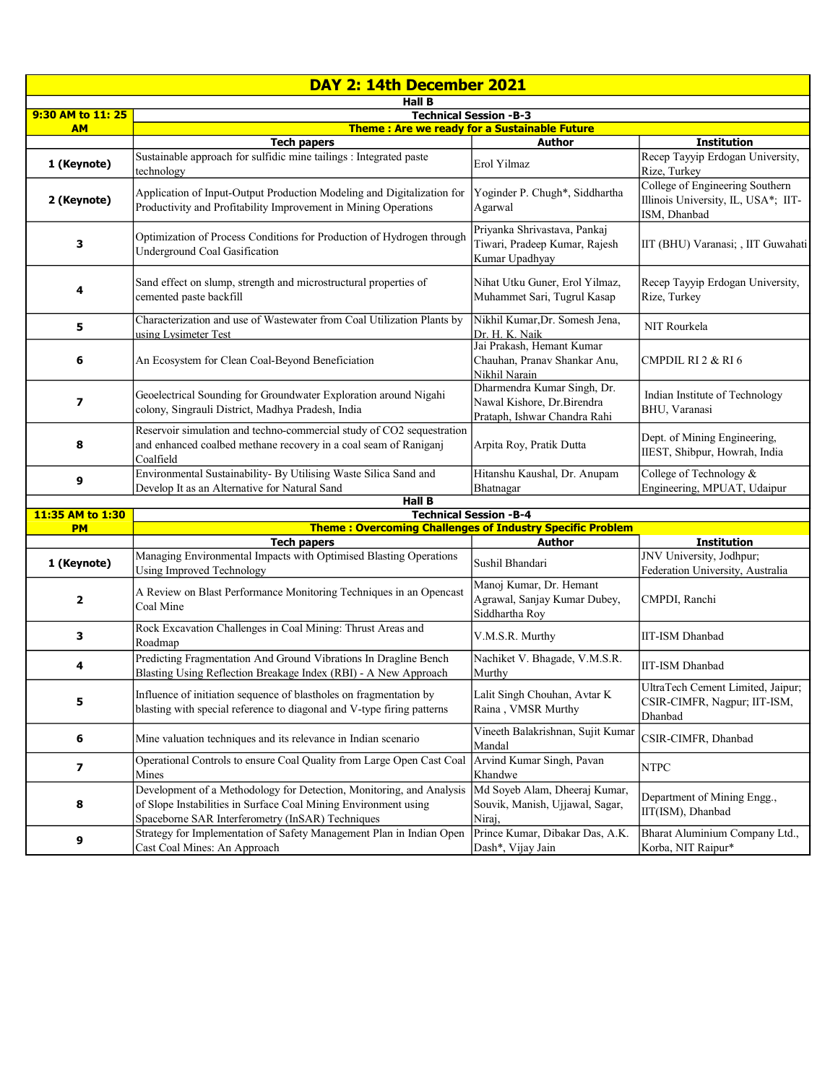| DAY 2: 14th December 2021 |                                                                                                                                                                                             |                                                                                           |                                                                                        |  |  |
|---------------------------|---------------------------------------------------------------------------------------------------------------------------------------------------------------------------------------------|-------------------------------------------------------------------------------------------|----------------------------------------------------------------------------------------|--|--|
| <b>Hall B</b>             |                                                                                                                                                                                             |                                                                                           |                                                                                        |  |  |
| 9:30 AM to 11: 25         | <b>Technical Session -B-3</b><br>Theme: Are we ready for a Sustainable Future                                                                                                               |                                                                                           |                                                                                        |  |  |
| <b>AM</b>                 | <b>Tech papers</b>                                                                                                                                                                          | Author                                                                                    | <b>Institution</b>                                                                     |  |  |
| 1 (Keynote)               | Sustainable approach for sulfidic mine tailings : Integrated paste<br>technology                                                                                                            | Erol Yilmaz                                                                               | Recep Tayyip Erdogan University,<br>Rize, Turkey                                       |  |  |
| 2 (Keynote)               | Application of Input-Output Production Modeling and Digitalization for<br>Productivity and Profitability Improvement in Mining Operations                                                   | Yoginder P. Chugh*, Siddhartha<br>Agarwal                                                 | College of Engineering Southern<br>Illinois University, IL, USA*; IIT-<br>ISM, Dhanbad |  |  |
| 3                         | Optimization of Process Conditions for Production of Hydrogen through<br>Underground Coal Gasification                                                                                      | Priyanka Shrivastava, Pankaj<br>Tiwari, Pradeep Kumar, Rajesh<br>Kumar Upadhyay           | IIT (BHU) Varanasi; , IIT Guwahati                                                     |  |  |
| 4                         | Sand effect on slump, strength and microstructural properties of<br>cemented paste backfill                                                                                                 | Nihat Utku Guner, Erol Yilmaz,<br>Muhammet Sari, Tugrul Kasap                             | Recep Tayyip Erdogan University,<br>Rize, Turkey                                       |  |  |
| 5                         | Characterization and use of Wastewater from Coal Utilization Plants by<br>using Lysimeter Test                                                                                              | Nikhil Kumar, Dr. Somesh Jena,<br>Dr. H. K. Naik                                          | NIT Rourkela                                                                           |  |  |
| 6                         | An Ecosystem for Clean Coal-Beyond Beneficiation                                                                                                                                            | Jai Prakash, Hemant Kumar<br>Chauhan, Pranav Shankar Anu,<br>Nikhil Narain                | CMPDIL RI 2 & RI 6                                                                     |  |  |
| 7                         | Geoelectrical Sounding for Groundwater Exploration around Nigahi<br>colony, Singrauli District, Madhya Pradesh, India                                                                       | Dharmendra Kumar Singh, Dr.<br>Nawal Kishore, Dr.Birendra<br>Prataph, Ishwar Chandra Rahi | Indian Institute of Technology<br>BHU, Varanasi                                        |  |  |
| 8                         | Reservoir simulation and techno-commercial study of CO2 sequestration<br>and enhanced coalbed methane recovery in a coal seam of Raniganj<br>Coalfield                                      | Arpita Roy, Pratik Dutta                                                                  | Dept. of Mining Engineering,<br>IIEST, Shibpur, Howrah, India                          |  |  |
| 9                         | Environmental Sustainability- By Utilising Waste Silica Sand and<br>Develop It as an Alternative for Natural Sand                                                                           | Hitanshu Kaushal, Dr. Anupam<br>Bhatnagar                                                 | College of Technology &<br>Engineering, MPUAT, Udaipur                                 |  |  |
|                           | <b>Hall B</b>                                                                                                                                                                               |                                                                                           |                                                                                        |  |  |
| 11:35 AM to 1:30          |                                                                                                                                                                                             | <b>Technical Session -B-4</b>                                                             |                                                                                        |  |  |
| <b>PM</b>                 |                                                                                                                                                                                             | <b>Theme: Overcoming Challenges of Industry Specific Problem</b><br><b>Author</b>         |                                                                                        |  |  |
| 1 (Keynote)               | <b>Tech papers</b><br>Managing Environmental Impacts with Optimised Blasting Operations<br>Using Improved Technology                                                                        | Sushil Bhandari                                                                           | <b>Institution</b><br>JNV University, Jodhpur;<br>Federation University, Australia     |  |  |
| $\overline{\mathbf{2}}$   | A Review on Blast Performance Monitoring Techniques in an Opencast<br>Coal Mine                                                                                                             | Manoj Kumar, Dr. Hemant<br>Agrawal, Sanjay Kumar Dubey,<br>Siddhartha Roy                 | CMPDI, Ranchi                                                                          |  |  |
| 3                         | Rock Excavation Challenges in Coal Mining: Thrust Areas and<br>Roadmap                                                                                                                      | V.M.S.R. Murthy                                                                           | IIT-ISM Dhanbad                                                                        |  |  |
| 4                         | Predicting Fragmentation And Ground Vibrations In Dragline Bench<br>Blasting Using Reflection Breakage Index (RBI) - A New Approach                                                         | Nachiket V. Bhagade, V.M.S.R.<br>Murthy                                                   | <b>IIT-ISM Dhanbad</b>                                                                 |  |  |
| 5                         | Influence of initiation sequence of blastholes on fragmentation by<br>blasting with special reference to diagonal and V-type firing patterns                                                | Lalit Singh Chouhan, Avtar K<br>Raina, VMSR Murthy                                        | UltraTech Cement Limited, Jaipur;<br>CSIR-CIMFR, Nagpur; IIT-ISM,<br>Dhanbad           |  |  |
| 6                         | Mine valuation techniques and its relevance in Indian scenario                                                                                                                              | Vineeth Balakrishnan, Sujit Kumar<br>Mandal                                               | CSIR-CIMFR, Dhanbad                                                                    |  |  |
| $\overline{\mathbf{z}}$   | Operational Controls to ensure Coal Quality from Large Open Cast Coal<br>Mines                                                                                                              | Arvind Kumar Singh, Pavan<br>Khandwe                                                      | <b>NTPC</b>                                                                            |  |  |
| 8                         | Development of a Methodology for Detection, Monitoring, and Analysis<br>of Slope Instabilities in Surface Coal Mining Environment using<br>Spaceborne SAR Interferometry (InSAR) Techniques | Md Soyeb Alam, Dheeraj Kumar,<br>Souvik, Manish, Ujjawal, Sagar,<br>Niraj,                | Department of Mining Engg.,<br>IIT(ISM), Dhanbad                                       |  |  |
| 9                         | Strategy for Implementation of Safety Management Plan in Indian Open<br>Cast Coal Mines: An Approach                                                                                        | Prince Kumar, Dibakar Das, A.K.<br>Dash*, Vijay Jain                                      | Bharat Aluminium Company Ltd.,<br>Korba, NIT Raipur*                                   |  |  |